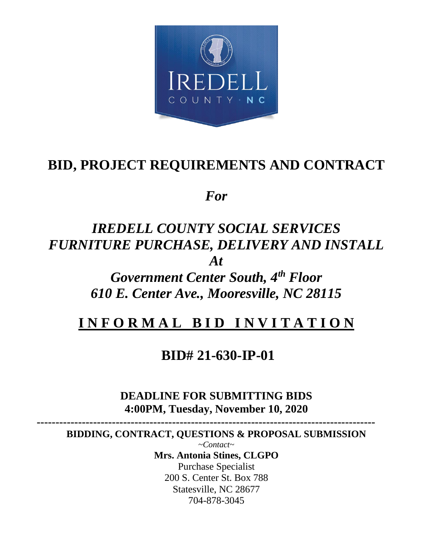

# **BID, PROJECT REQUIREMENTS AND CONTRACT**

*For*

# *IREDELL COUNTY SOCIAL SERVICES FURNITURE PURCHASE, DELIVERY AND INSTALL At*

*Government Center South, 4th Floor 610 E. Center Ave., Mooresville, NC 28115*

# **I N F O R M A L B I D I N V I T A T I O N**

# **BID# 21-630-IP-01**

## **DEADLINE FOR SUBMITTING BIDS 4:00PM, Tuesday, November 10, 2020**

 **------------------------------------------------------------------------------------------**

**BIDDING, CONTRACT, QUESTIONS & PROPOSAL SUBMISSION** 

*~Contact~* **Mrs. Antonia Stines, CLGPO** Purchase Specialist 200 S. Center St. Box 788 Statesville, NC 28677 704-878-3045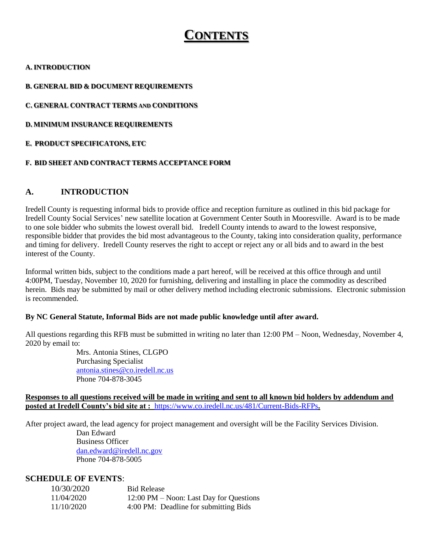## **CONTENTS**

#### **A. INTRODUCTION**

#### **B. GENERAL BID & DOCUMENT REQUIREMENTS**

**C. GENERAL CONTRACT TERMS AND CONDITIONS**

**D. MINIMUM INSURANCE REQUIREMENTS**

#### **E. PRODUCT SPECIFICATONS, ETC**

#### **F. BID SHEET AND CONTRACT TERMS ACCEPTANCE FORM**

#### **A. INTRODUCTION**

Iredell County is requesting informal bids to provide office and reception furniture as outlined in this bid package for Iredell County Social Services' new satellite location at Government Center South in Mooresville. Award is to be made to one sole bidder who submits the lowest overall bid. Iredell County intends to award to the lowest responsive, responsible bidder that provides the bid most advantageous to the County, taking into consideration quality, performance and timing for delivery. Iredell County reserves the right to accept or reject any or all bids and to award in the best interest of the County.

Informal written bids, subject to the conditions made a part hereof, will be received at this office through and until 4:00PM, Tuesday, November 10, 2020 for furnishing, delivering and installing in place the commodity as described herein. Bids may be submitted by mail or other delivery method including electronic submissions. Electronic submission is recommended.

#### **By NC General Statute, Informal Bids are not made public knowledge until after award.**

All questions regarding this RFB must be submitted in writing no later than 12:00 PM – Noon, Wednesday, November 4, 2020 by email to:

> Mrs. Antonia Stines, CLGPO Purchasing Specialist [antonia.stines@co.iredell.nc.us](mailto:antonia.stines@co.iredell.nc.us) Phone 704-878-3045

#### **Responses to all questions received will be made in writing and sent to all known bid holders by addendum and posted at Iredell County's bid site at :** <https://www.co.iredell.nc.us/481/Current-Bids-RFPs>**.**

After project award, the lead agency for project management and oversight will be the Facility Services Division.

Dan Edward Business Officer [dan.edward@iredell.nc.gov](mailto:dan.edward@iredell.nc.gov) Phone 704-878-5005

#### **SCHEDULE OF EVENTS**:

| 10/30/2020 | <b>Bid Release</b>                      |
|------------|-----------------------------------------|
| 11/04/2020 | 12:00 PM – Noon: Last Day for Questions |
| 11/10/2020 | 4:00 PM: Deadline for submitting Bids   |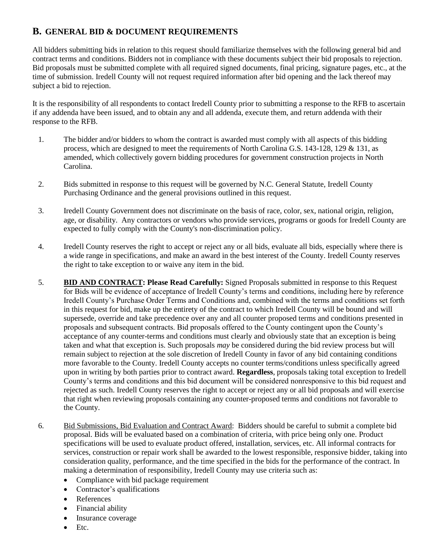## **B. GENERAL BID & DOCUMENT REQUIREMENTS**

All bidders submitting bids in relation to this request should familiarize themselves with the following general bid and contract terms and conditions. Bidders not in compliance with these documents subject their bid proposals to rejection. Bid proposals must be submitted complete with all required signed documents, final pricing, signature pages, etc., at the time of submission. Iredell County will not request required information after bid opening and the lack thereof may subject a bid to rejection.

It is the responsibility of all respondents to contact Iredell County prior to submitting a response to the RFB to ascertain if any addenda have been issued, and to obtain any and all addenda, execute them, and return addenda with their response to the RFB.

- 1. The bidder and/or bidders to whom the contract is awarded must comply with all aspects of this bidding process, which are designed to meet the requirements of North Carolina G.S. 143-128, 129 & 131, as amended, which collectively govern bidding procedures for government construction projects in North Carolina.
- 2. Bids submitted in response to this request will be governed by N.C. General Statute, Iredell County Purchasing Ordinance and the general provisions outlined in this request.
- 3. Iredell County Government does not discriminate on the basis of race, color, sex, national origin, religion, age, or disability. Any contractors or vendors who provide services, programs or goods for Iredell County are expected to fully comply with the County's non-discrimination policy.
- 4. Iredell County reserves the right to accept or reject any or all bids, evaluate all bids, especially where there is a wide range in specifications, and make an award in the best interest of the County. Iredell County reserves the right to take exception to or waive any item in the bid.
- 5. **BID AND CONTRACT: Please Read Carefully:** Signed Proposals submitted in response to this Request for Bids will be evidence of acceptance of Iredell County's terms and conditions, including here by reference Iredell County's Purchase Order Terms and Conditions and, combined with the terms and conditions set forth in this request for bid, make up the entirety of the contract to which Iredell County will be bound and will supersede, override and take precedence over any and all counter proposed terms and conditions presented in proposals and subsequent contracts. Bid proposals offered to the County contingent upon the County's acceptance of any counter-terms and conditions must clearly and obviously state that an exception is being taken and what that exception is. Such proposals *may* be considered during the bid review process but will remain subject to rejection at the sole discretion of Iredell County in favor of any bid containing conditions more favorable to the County. Iredell County accepts no counter terms/conditions unless specifically agreed upon in writing by both parties prior to contract award. **Regardless**, proposals taking total exception to Iredell County's terms and conditions and this bid document will be considered nonresponsive to this bid request and rejected as such. Iredell County reserves the right to accept or reject any or all bid proposals and will exercise that right when reviewing proposals containing any counter-proposed terms and conditions not favorable to the County.
- 6. Bid Submissions, Bid Evaluation and Contract Award: Bidders should be careful to submit a complete bid proposal. Bids will be evaluated based on a combination of criteria, with price being only one. Product specifications will be used to evaluate product offered, installation, services, etc. All informal contracts for services, construction or repair work shall be awarded to the lowest responsible, responsive bidder, taking into consideration quality, performance, and the time specified in the bids for the performance of the contract. In making a determination of responsibility, Iredell County may use criteria such as:
	- Compliance with bid package requirement
	- Contractor's qualifications
	- References
	- Financial ability
	- Insurance coverage
	- $\bullet$  Etc.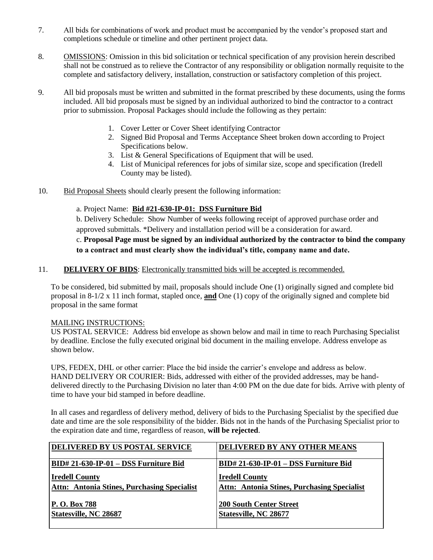- 7. All bids for combinations of work and product must be accompanied by the vendor's proposed start and completions schedule or timeline and other pertinent project data.
- 8. OMISSIONS: Omission in this bid solicitation or technical specification of any provision herein described shall not be construed as to relieve the Contractor of any responsibility or obligation normally requisite to the complete and satisfactory delivery, installation, construction or satisfactory completion of this project.
- 9. All bid proposals must be written and submitted in the format prescribed by these documents, using the forms included. All bid proposals must be signed by an individual authorized to bind the contractor to a contract prior to submission. Proposal Packages should include the following as they pertain:
	- 1. Cover Letter or Cover Sheet identifying Contractor
	- 2. Signed Bid Proposal and Terms Acceptance Sheet broken down according to Project Specifications below.
	- 3. List & General Specifications of Equipment that will be used.
	- 4. List of Municipal references for jobs of similar size, scope and specification (Iredell County may be listed).
- 10. Bid Proposal Sheets should clearly present the following information:

#### a. Project Name: **Bid #21-630-IP-01: DSS Furniture Bid**

b. Delivery Schedule: Show Number of weeks following receipt of approved purchase order and approved submittals. \*Delivery and installation period will be a consideration for award.

## c. **Proposal Page must be signed by an individual authorized by the contractor to bind the company to a contract and must clearly show the individual's title, company name and date.**

#### 11. **DELIVERY OF BIDS**: Electronically transmitted bids will be accepted is recommended.

To be considered, bid submitted by mail, proposals should include One (1) originally signed and complete bid proposal in 8-1/2 x 11 inch format, stapled once, **and** One (1) copy of the originally signed and complete bid proposal in the same format

#### MAILING INSTRUCTIONS:

US POSTAL SERVICE: Address bid envelope as shown below and mail in time to reach Purchasing Specialist by deadline. Enclose the fully executed original bid document in the mailing envelope. Address envelope as shown below.

UPS, FEDEX, DHL or other carrier: Place the bid inside the carrier's envelope and address as below. HAND DELIVERY OR COURIER: Bids, addressed with either of the provided addresses, may be handdelivered directly to the Purchasing Division no later than 4:00 PM on the due date for bids. Arrive with plenty of time to have your bid stamped in before deadline.

In all cases and regardless of delivery method, delivery of bids to the Purchasing Specialist by the specified due date and time are the sole responsibility of the bidder. Bids not in the hands of the Purchasing Specialist prior to the expiration date and time, regardless of reason, **will be rejected**.

| DELIVERED BY US POSTAL SERVICE                     | DELIVERED BY ANY OTHER MEANS                       |
|----------------------------------------------------|----------------------------------------------------|
|                                                    |                                                    |
|                                                    |                                                    |
|                                                    | BID# 21-630-IP-01 - DSS Furniture Bid              |
| BID# 21-630-IP-01 - DSS Furniture Bid              |                                                    |
|                                                    |                                                    |
|                                                    |                                                    |
| <b>Iredell County</b>                              | <b>Iredell County</b>                              |
|                                                    |                                                    |
| <b>Attn: Antonia Stines, Purchasing Specialist</b> | <b>Attn: Antonia Stines, Purchasing Specialist</b> |
|                                                    |                                                    |
|                                                    |                                                    |
| <b>P.O. Box 788</b>                                | <b>200 South Center Street</b>                     |
|                                                    |                                                    |
|                                                    |                                                    |
| Statesville, NC 28687                              | Statesville, NC 28677                              |
|                                                    |                                                    |
|                                                    |                                                    |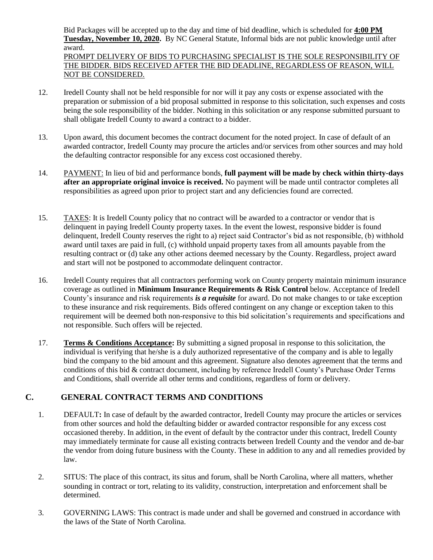Bid Packages will be accepted up to the day and time of bid deadline, which is scheduled for **4:00 PM Tuesday, November 10, 2020.** By NC General Statute, Informal bids are not public knowledge until after award.

PROMPT DELIVERY OF BIDS TO PURCHASING SPECIALIST IS THE SOLE RESPONSIBILITY OF THE BIDDER. BIDS RECEIVED AFTER THE BID DEADLINE, REGARDLESS OF REASON, WILL NOT BE CONSIDERED.

- 12. Iredell County shall not be held responsible for nor will it pay any costs or expense associated with the preparation or submission of a bid proposal submitted in response to this solicitation, such expenses and costs being the sole responsibility of the bidder. Nothing in this solicitation or any response submitted pursuant to shall obligate Iredell County to award a contract to a bidder.
- 13. Upon award, this document becomes the contract document for the noted project. In case of default of an awarded contractor, Iredell County may procure the articles and/or services from other sources and may hold the defaulting contractor responsible for any excess cost occasioned thereby.
- 14. PAYMENT: In lieu of bid and performance bonds, **full payment will be made by check within thirty-days after an appropriate original invoice is received.** No payment will be made until contractor completes all responsibilities as agreed upon prior to project start and any deficiencies found are corrected.
- 15. TAXES: It is Iredell County policy that no contract will be awarded to a contractor or vendor that is delinquent in paying Iredell County property taxes. In the event the lowest, responsive bidder is found delinquent, Iredell County reserves the right to a) reject said Contractor's bid as not responsible, (b) withhold award until taxes are paid in full, (c) withhold unpaid property taxes from all amounts payable from the resulting contract or (d) take any other actions deemed necessary by the County. Regardless, project award and start will not be postponed to accommodate delinquent contractor.
- 16. Iredell County requires that all contractors performing work on County property maintain minimum insurance coverage as outlined in **Minimum Insurance Requirements & Risk Control** below. Acceptance of Iredell County's insurance and risk requirements *is a requisite* for award. Do not make changes to or take exception to these insurance and risk requirements. Bids offered contingent on any change or exception taken to this requirement will be deemed both non-responsive to this bid solicitation's requirements and specifications and not responsible. Such offers will be rejected.
- 17. **Terms & Conditions Acceptance:** By submitting a signed proposal in response to this solicitation, the individual is verifying that he/she is a duly authorized representative of the company and is able to legally bind the company to the bid amount and this agreement. Signature also denotes agreement that the terms and conditions of this bid & contract document, including by reference Iredell County's Purchase Order Terms and Conditions, shall override all other terms and conditions, regardless of form or delivery.

## **C. GENERAL CONTRACT TERMS AND CONDITIONS**

- 1. DEFAULT**:** In case of default by the awarded contractor, Iredell County may procure the articles or services from other sources and hold the defaulting bidder or awarded contractor responsible for any excess cost occasioned thereby. In addition, in the event of default by the contractor under this contract, Iredell County may immediately terminate for cause all existing contracts between Iredell County and the vendor and de-bar the vendor from doing future business with the County. These in addition to any and all remedies provided by law.
- 2. SITUS: The place of this contract, its situs and forum, shall be North Carolina, where all matters, whether sounding in contract or tort, relating to its validity, construction, interpretation and enforcement shall be determined.
- 3. GOVERNING LAWS: This contract is made under and shall be governed and construed in accordance with the laws of the State of North Carolina.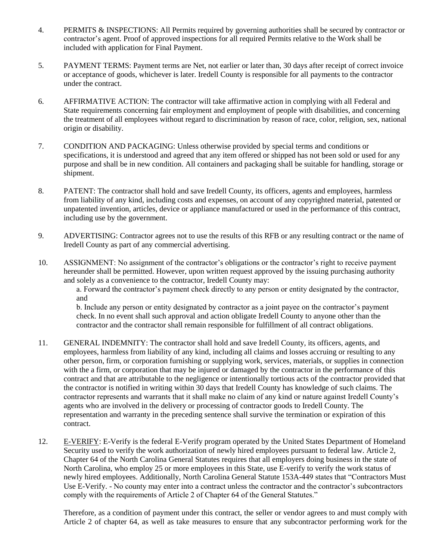- 4. PERMITS & INSPECTIONS: All Permits required by governing authorities shall be secured by contractor or contractor's agent. Proof of approved inspections for all required Permits relative to the Work shall be included with application for Final Payment.
- 5. PAYMENT TERMS: Payment terms are Net, not earlier or later than, 30 days after receipt of correct invoice or acceptance of goods, whichever is later. Iredell County is responsible for all payments to the contractor under the contract.
- 6. AFFIRMATIVE ACTION: The contractor will take affirmative action in complying with all Federal and State requirements concerning fair employment and employment of people with disabilities, and concerning the treatment of all employees without regard to discrimination by reason of race, color, religion, sex, national origin or disability.
- 7. CONDITION AND PACKAGING: Unless otherwise provided by special terms and conditions or specifications, it is understood and agreed that any item offered or shipped has not been sold or used for any purpose and shall be in new condition. All containers and packaging shall be suitable for handling, storage or shipment.
- 8. PATENT: The contractor shall hold and save Iredell County, its officers, agents and employees, harmless from liability of any kind, including costs and expenses, on account of any copyrighted material, patented or unpatented invention, articles, device or appliance manufactured or used in the performance of this contract, including use by the government.
- 9. ADVERTISING: Contractor agrees not to use the results of this RFB or any resulting contract or the name of Iredell County as part of any commercial advertising.
- 10. ASSIGNMENT: No assignment of the contractor's obligations or the contractor's right to receive payment hereunder shall be permitted. However, upon written request approved by the issuing purchasing authority and solely as a convenience to the contractor, Iredell County may:

a. Forward the contractor's payment check directly to any person or entity designated by the contractor, and

b. Include any person or entity designated by contractor as a joint payee on the contractor's payment check. In no event shall such approval and action obligate Iredell County to anyone other than the contractor and the contractor shall remain responsible for fulfillment of all contract obligations.

- 11. GENERAL INDEMNITY: The contractor shall hold and save Iredell County, its officers, agents, and employees, harmless from liability of any kind, including all claims and losses accruing or resulting to any other person, firm, or corporation furnishing or supplying work, services, materials, or supplies in connection with the a firm, or corporation that may be injured or damaged by the contractor in the performance of this contract and that are attributable to the negligence or intentionally tortious acts of the contractor provided that the contractor is notified in writing within 30 days that Iredell County has knowledge of such claims. The contractor represents and warrants that it shall make no claim of any kind or nature against Iredell County's agents who are involved in the delivery or processing of contractor goods to Iredell County. The representation and warranty in the preceding sentence shall survive the termination or expiration of this contract.
- 12. E-VERIFY: E-Verify is the federal E-Verify program operated by the United States Department of Homeland Security used to verify the work authorization of newly hired employees pursuant to federal law. Article 2, Chapter 64 of the North Carolina General Statutes requires that all employers doing business in the state of North Carolina, who employ 25 or more employees in this State, use E-verify to verify the work status of newly hired employees. Additionally, North Carolina General Statute 153A-449 states that "Contractors Must Use E-Verify. - No county may enter into a contract unless the contractor and the contractor's subcontractors comply with the requirements of Article 2 of Chapter 64 of the General Statutes."

Therefore, as a condition of payment under this contract, the seller or vendor agrees to and must comply with Article 2 of chapter 64, as well as take measures to ensure that any subcontractor performing work for the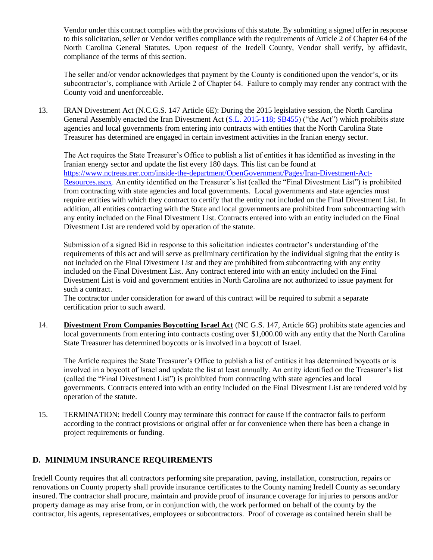Vendor under this contract complies with the provisions of this statute. By submitting a signed offer in response to this solicitation, seller or Vendor verifies compliance with the requirements of Article 2 of Chapter 64 of the North Carolina General Statutes. Upon request of the Iredell County, Vendor shall verify, by affidavit, compliance of the terms of this section.

The seller and/or vendor acknowledges that payment by the County is conditioned upon the vendor's, or its subcontractor's, compliance with Article 2 of Chapter 64. Failure to comply may render any contract with the County void and unenforceable.

13. IRAN Divestment Act (N.C.G.S. 147 Article 6E): During the 2015 legislative session, the North Carolina General Assembly enacted the Iran Divestment Act [\(S.L. 2015-118; SB455\)](http://www.ncleg.net/Sessions/2015/Bills/Senate/HTML/S455v5.html) ("the Act") which prohibits state agencies and local governments from entering into contracts with entities that the North Carolina State Treasurer has determined are engaged in certain investment activities in the Iranian energy sector.

The Act requires the State Treasurer's Office to publish a list of entities it has identified as investing in the Iranian energy sector and update the list every 180 days. This list can be found at [https://www.nctreasurer.com/inside-the-department/OpenGovernment/Pages/Iran-Divestment-Act-](https://www.nctreasurer.com/inside-the-department/OpenGovernment/Pages/Iran-Divestment-Act-Resources.aspx)[Resources.aspx.](https://www.nctreasurer.com/inside-the-department/OpenGovernment/Pages/Iran-Divestment-Act-Resources.aspx) An entity identified on the Treasurer's list (called the "Final Divestment List") is prohibited from contracting with state agencies and local governments. Local governments and state agencies must require entities with which they contract to certify that the entity not included on the Final Divestment List. In addition, all entities contracting with the State and local governments are prohibited from subcontracting with any entity included on the Final Divestment List. Contracts entered into with an entity included on the Final Divestment List are rendered void by operation of the statute.

Submission of a signed Bid in response to this solicitation indicates contractor's understanding of the requirements of this act and will serve as preliminary certification by the individual signing that the entity is not included on the Final Divestment List and they are prohibited from subcontracting with any entity included on the Final Divestment List. Any contract entered into with an entity included on the Final Divestment List is void and government entities in North Carolina are not authorized to issue payment for such a contract.

The contractor under consideration for award of this contract will be required to submit a separate certification prior to such award.

14. **Divestment From Companies Boycotting Israel Act** (NC G.S. 147, Article 6G) prohibits state agencies and local governments from entering into contracts costing over \$1,000.00 with any entity that the North Carolina State Treasurer has determined boycotts or is involved in a boycott of Israel.

The Article requires the State Treasurer's Office to publish a list of entities it has determined boycotts or is involved in a boycott of Israel and update the list at least annually. An entity identified on the Treasurer's list (called the "Final Divestment List") is prohibited from contracting with state agencies and local governments. Contracts entered into with an entity included on the Final Divestment List are rendered void by operation of the statute.

15. TERMINATION: Iredell County may terminate this contract for cause if the contractor fails to perform according to the contract provisions or original offer or for convenience when there has been a change in project requirements or funding.

## **D. MINIMUM INSURANCE REQUIREMENTS**

Iredell County requires that all contractors performing site preparation, paving, installation, construction, repairs or renovations on County property shall provide insurance certificates to the County naming Iredell County as secondary insured. The contractor shall procure, maintain and provide proof of insurance coverage for injuries to persons and/or property damage as may arise from, or in conjunction with, the work performed on behalf of the county by the contractor, his agents, representatives, employees or subcontractors. Proof of coverage as contained herein shall be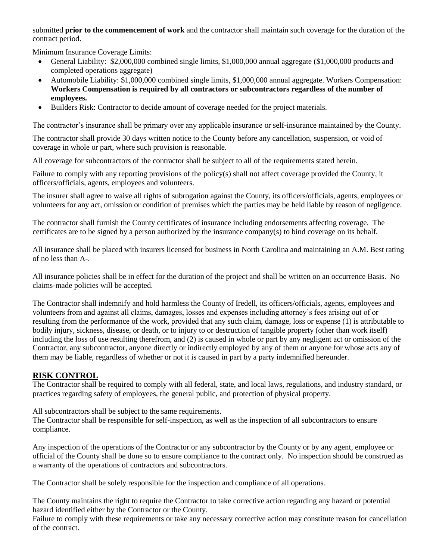submitted **prior to the commencement of work** and the contractor shall maintain such coverage for the duration of the contract period.

Minimum Insurance Coverage Limits:

- General Liability: \$2,000,000 combined single limits, \$1,000,000 annual aggregate (\$1,000,000 products and completed operations aggregate)
- Automobile Liability: \$1,000,000 combined single limits, \$1,000,000 annual aggregate. Workers Compensation: **Workers Compensation is required by all contractors or subcontractors regardless of the number of employees.**
- Builders Risk: Contractor to decide amount of coverage needed for the project materials.

The contractor's insurance shall be primary over any applicable insurance or self-insurance maintained by the County.

The contractor shall provide 30 days written notice to the County before any cancellation, suspension, or void of coverage in whole or part, where such provision is reasonable.

All coverage for subcontractors of the contractor shall be subject to all of the requirements stated herein.

Failure to comply with any reporting provisions of the policy(s) shall not affect coverage provided the County, it officers/officials, agents, employees and volunteers.

The insurer shall agree to waive all rights of subrogation against the County, its officers/officials, agents, employees or volunteers for any act, omission or condition of premises which the parties may be held liable by reason of negligence.

The contractor shall furnish the County certificates of insurance including endorsements affecting coverage. The certificates are to be signed by a person authorized by the insurance company(s) to bind coverage on its behalf.

All insurance shall be placed with insurers licensed for business in North Carolina and maintaining an A.M. Best rating of no less than A-.

All insurance policies shall be in effect for the duration of the project and shall be written on an occurrence Basis. No claims-made policies will be accepted.

The Contractor shall indemnify and hold harmless the County of Iredell, its officers/officials, agents, employees and volunteers from and against all claims, damages, losses and expenses including attorney's fees arising out of or resulting from the performance of the work, provided that any such claim, damage, loss or expense (1) is attributable to bodily injury, sickness, disease, or death, or to injury to or destruction of tangible property (other than work itself) including the loss of use resulting therefrom, and (2) is caused in whole or part by any negligent act or omission of the Contractor, any subcontractor, anyone directly or indirectly employed by any of them or anyone for whose acts any of them may be liable, regardless of whether or not it is caused in part by a party indemnified hereunder.

## **RISK CONTROL**

The Contractor shall be required to comply with all federal, state, and local laws, regulations, and industry standard, or practices regarding safety of employees, the general public, and protection of physical property.

All subcontractors shall be subject to the same requirements.

The Contractor shall be responsible for self-inspection, as well as the inspection of all subcontractors to ensure compliance.

Any inspection of the operations of the Contractor or any subcontractor by the County or by any agent, employee or official of the County shall be done so to ensure compliance to the contract only. No inspection should be construed as a warranty of the operations of contractors and subcontractors.

The Contractor shall be solely responsible for the inspection and compliance of all operations.

The County maintains the right to require the Contractor to take corrective action regarding any hazard or potential hazard identified either by the Contractor or the County.

Failure to comply with these requirements or take any necessary corrective action may constitute reason for cancellation of the contract.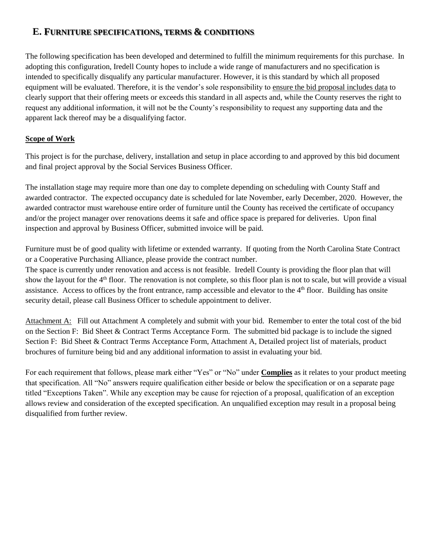## **E. FURNITURE SPECIFICATIONS, TERMS & CONDITIONS**

The following specification has been developed and determined to fulfill the minimum requirements for this purchase. In adopting this configuration, Iredell County hopes to include a wide range of manufacturers and no specification is intended to specifically disqualify any particular manufacturer. However, it is this standard by which all proposed equipment will be evaluated. Therefore, it is the vendor's sole responsibility to ensure the bid proposal includes data to clearly support that their offering meets or exceeds this standard in all aspects and, while the County reserves the right to request any additional information, it will not be the County's responsibility to request any supporting data and the apparent lack thereof may be a disqualifying factor.

### **Scope of Work**

This project is for the purchase, delivery, installation and setup in place according to and approved by this bid document and final project approval by the Social Services Business Officer.

The installation stage may require more than one day to complete depending on scheduling with County Staff and awarded contractor. The expected occupancy date is scheduled for late November, early December, 2020. However, the awarded contractor must warehouse entire order of furniture until the County has received the certificate of occupancy and/or the project manager over renovations deems it safe and office space is prepared for deliveries. Upon final inspection and approval by Business Officer, submitted invoice will be paid.

Furniture must be of good quality with lifetime or extended warranty. If quoting from the North Carolina State Contract or a Cooperative Purchasing Alliance, please provide the contract number.

The space is currently under renovation and access is not feasible. Iredell County is providing the floor plan that will show the layout for the 4<sup>th</sup> floor. The renovation is not complete, so this floor plan is not to scale, but will provide a visual assistance. Access to offices by the front entrance, ramp accessible and elevator to the 4th floor. Building has onsite security detail, please call Business Officer to schedule appointment to deliver.

Attachment A: Fill out Attachment A completely and submit with your bid. Remember to enter the total cost of the bid on the Section F: Bid Sheet & Contract Terms Acceptance Form. The submitted bid package is to include the signed Section F: Bid Sheet & Contract Terms Acceptance Form, Attachment A, Detailed project list of materials, product brochures of furniture being bid and any additional information to assist in evaluating your bid.

For each requirement that follows, please mark either "Yes" or "No" under **Complies** as it relates to your product meeting that specification. All "No" answers require qualification either beside or below the specification or on a separate page titled "Exceptions Taken". While any exception may be cause for rejection of a proposal, qualification of an exception allows review and consideration of the excepted specification. An unqualified exception may result in a proposal being disqualified from further review.